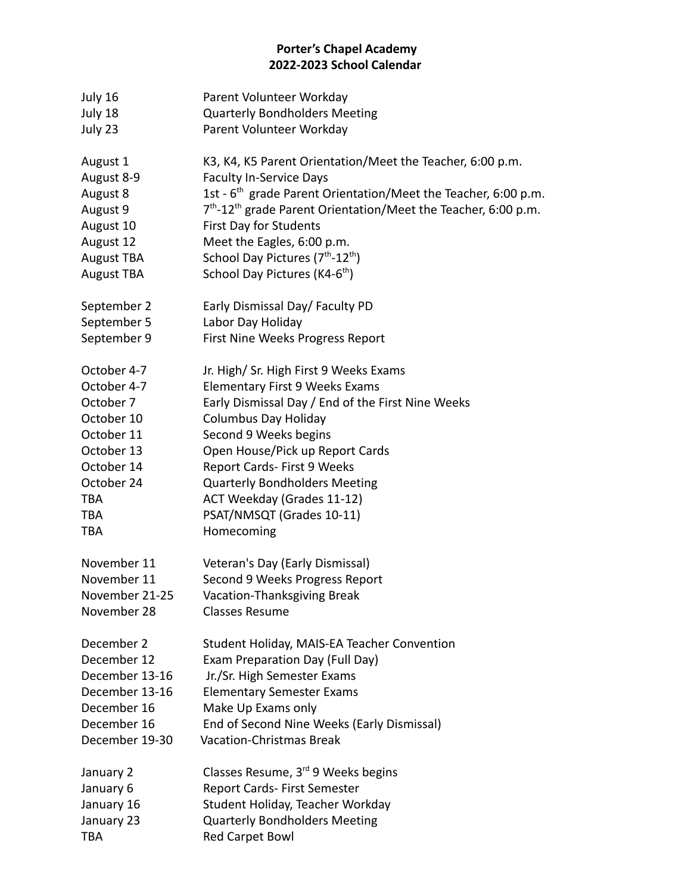## **Porter's Chapel Academy 2022-2023 School Calendar**

| July 16           | Parent Volunteer Workday                                                               |  |
|-------------------|----------------------------------------------------------------------------------------|--|
| July 18           | <b>Quarterly Bondholders Meeting</b>                                                   |  |
| July 23           | Parent Volunteer Workday                                                               |  |
| August 1          | K3, K4, K5 Parent Orientation/Meet the Teacher, 6:00 p.m.                              |  |
| August 8-9        | <b>Faculty In-Service Days</b>                                                         |  |
| August 8          | 1st - 6 <sup>th</sup> grade Parent Orientation/Meet the Teacher, 6:00 p.m.             |  |
| August 9          | 7 <sup>th</sup> -12 <sup>th</sup> grade Parent Orientation/Meet the Teacher, 6:00 p.m. |  |
| August 10         | First Day for Students                                                                 |  |
| August 12         | Meet the Eagles, 6:00 p.m.                                                             |  |
| <b>August TBA</b> | School Day Pictures (7 <sup>th</sup> -12 <sup>th</sup> )                               |  |
| <b>August TBA</b> | School Day Pictures (K4-6 <sup>th</sup> )                                              |  |
| September 2       | Early Dismissal Day/ Faculty PD                                                        |  |
| September 5       | Labor Day Holiday                                                                      |  |
| September 9       | First Nine Weeks Progress Report                                                       |  |
| October 4-7       | Jr. High/ Sr. High First 9 Weeks Exams                                                 |  |
| October 4-7       | Elementary First 9 Weeks Exams                                                         |  |
| October 7         | Early Dismissal Day / End of the First Nine Weeks                                      |  |
| October 10        | <b>Columbus Day Holiday</b>                                                            |  |
| October 11        | Second 9 Weeks begins                                                                  |  |
| October 13        | Open House/Pick up Report Cards                                                        |  |
| October 14        | Report Cards- First 9 Weeks                                                            |  |
| October 24        | <b>Quarterly Bondholders Meeting</b>                                                   |  |
| <b>TBA</b>        | ACT Weekday (Grades 11-12)                                                             |  |
| <b>TBA</b>        | PSAT/NMSQT (Grades 10-11)                                                              |  |
| TBA               | Homecoming                                                                             |  |
| November 11       | Veteran's Day (Early Dismissal)                                                        |  |
| November 11       | Second 9 Weeks Progress Report                                                         |  |
| November 21-25    | Vacation-Thanksgiving Break                                                            |  |
| November 28       | <b>Classes Resume</b>                                                                  |  |
| December 2        | Student Holiday, MAIS-EA Teacher Convention                                            |  |
| December 12       | Exam Preparation Day (Full Day)                                                        |  |
| December 13-16    | Jr./Sr. High Semester Exams                                                            |  |
| December 13-16    | <b>Elementary Semester Exams</b>                                                       |  |
| December 16       | Make Up Exams only                                                                     |  |
| December 16       | End of Second Nine Weeks (Early Dismissal)                                             |  |
| December 19-30    | <b>Vacation-Christmas Break</b>                                                        |  |
| January 2         | Classes Resume, 3 <sup>rd</sup> 9 Weeks begins                                         |  |
| January 6         | Report Cards- First Semester                                                           |  |
| January 16        | Student Holiday, Teacher Workday                                                       |  |
| January 23        | <b>Quarterly Bondholders Meeting</b>                                                   |  |
| TBA               | <b>Red Carpet Bowl</b>                                                                 |  |